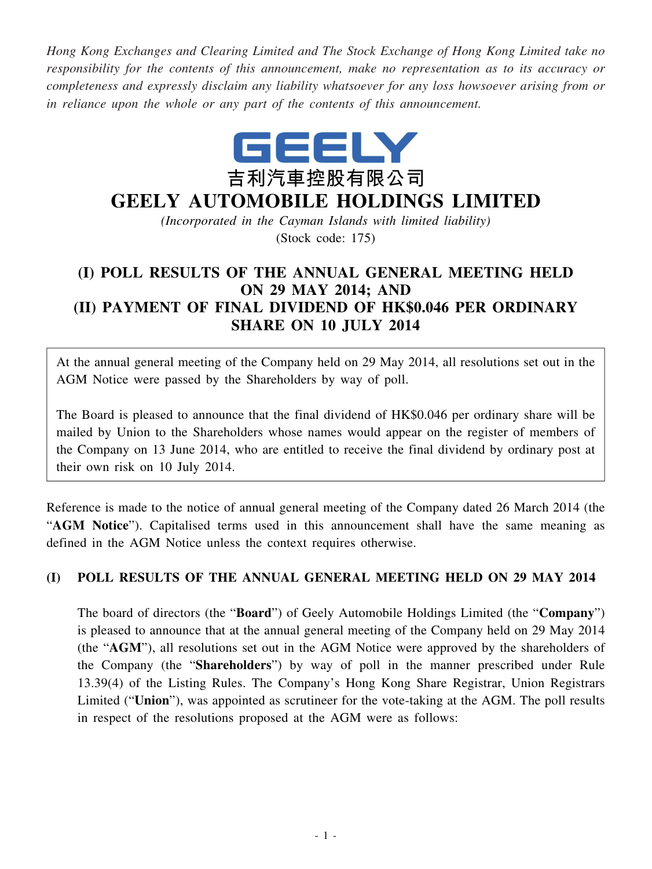*Hong Kong Exchanges and Clearing Limited and The Stock Exchange of Hong Kong Limited take no responsibility for the contents of this announcement, make no representation as to its accuracy or completeness and expressly disclaim any liability whatsoever for any loss howsoever arising from or in reliance upon the whole or any part of the contents of this announcement.*



## **GEELY AUTOMOBILE HOLDINGS LIMITED**

*(Incorporated in the Cayman Islands with limited liability)* (Stock code: 175)

## **(I) POLL RESULTS OF THE ANNUAL GENERAL MEETING HELD ON 29 MAY 2014; AND (II) PAYMENT OF FINAL DIVIDEND OF HK\$0.046 PER ORDINARY SHARE ON 10 JULY 2014**

At the annual general meeting of the Company held on 29 May 2014, all resolutions set out in the AGM Notice were passed by the Shareholders by way of poll.

The Board is pleased to announce that the final dividend of HK\$0.046 per ordinary share will be mailed by Union to the Shareholders whose names would appear on the register of members of the Company on 13 June 2014, who are entitled to receive the final dividend by ordinary post at their own risk on 10 July 2014.

Reference is made to the notice of annual general meeting of the Company dated 26 March 2014 (the "**AGM Notice**"). Capitalised terms used in this announcement shall have the same meaning as defined in the AGM Notice unless the context requires otherwise.

## **(I) POLL RESULTS OF THE ANNUAL GENERAL MEETING HELD ON 29 MAY 2014**

The board of directors (the "**Board**") of Geely Automobile Holdings Limited (the "**Company**") is pleased to announce that at the annual general meeting of the Company held on 29 May 2014 (the "**AGM**"), all resolutions set out in the AGM Notice were approved by the shareholders of the Company (the "**Shareholders**") by way of poll in the manner prescribed under Rule 13.39(4) of the Listing Rules. The Company's Hong Kong Share Registrar, Union Registrars Limited ("**Union**"), was appointed as scrutineer for the vote-taking at the AGM. The poll results in respect of the resolutions proposed at the AGM were as follows: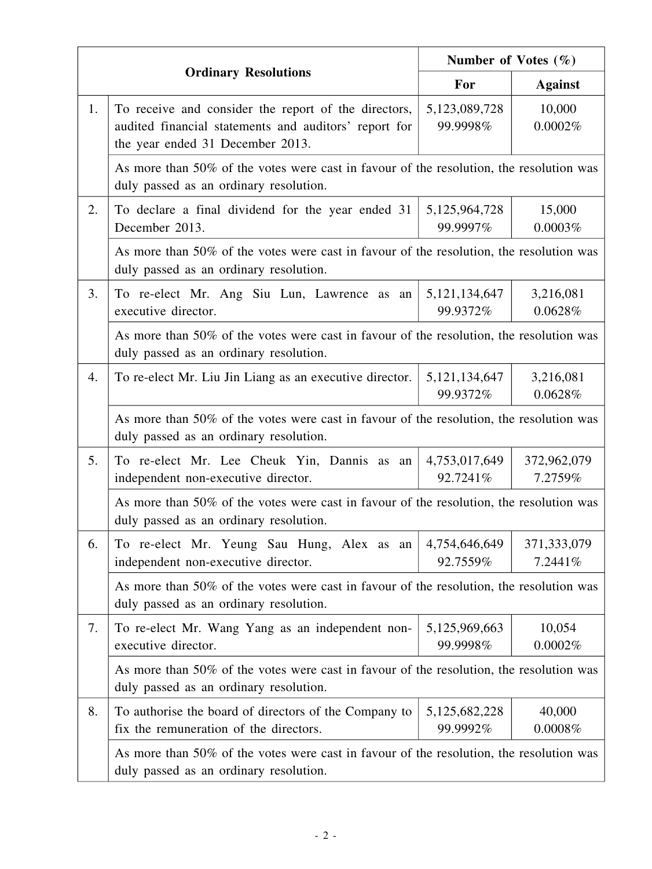|    |                                                                                                                                                   | Number of Votes $(\% )$      |                        |  |  |
|----|---------------------------------------------------------------------------------------------------------------------------------------------------|------------------------------|------------------------|--|--|
|    | <b>Ordinary Resolutions</b>                                                                                                                       | For                          | <b>Against</b>         |  |  |
| 1. | To receive and consider the report of the directors,<br>audited financial statements and auditors' report for<br>the year ended 31 December 2013. | 5,123,089,728<br>99.9998%    | 10,000<br>0.0002%      |  |  |
|    | As more than 50% of the votes were cast in favour of the resolution, the resolution was<br>duly passed as an ordinary resolution.                 |                              |                        |  |  |
| 2. | To declare a final dividend for the year ended 31<br>December 2013.                                                                               | 5, 125, 964, 728<br>99.9997% | 15,000<br>0.0003%      |  |  |
|    | As more than 50% of the votes were cast in favour of the resolution, the resolution was<br>duly passed as an ordinary resolution.                 |                              |                        |  |  |
| 3. | To re-elect Mr. Ang Siu Lun, Lawrence as an<br>executive director.                                                                                | 5, 121, 134, 647<br>99.9372% | 3,216,081<br>0.0628%   |  |  |
|    | As more than 50% of the votes were cast in favour of the resolution, the resolution was<br>duly passed as an ordinary resolution.                 |                              |                        |  |  |
| 4. | To re-elect Mr. Liu Jin Liang as an executive director.                                                                                           | 5, 121, 134, 647<br>99.9372% | 3,216,081<br>0.0628%   |  |  |
|    | As more than 50% of the votes were cast in favour of the resolution, the resolution was<br>duly passed as an ordinary resolution.                 |                              |                        |  |  |
| 5. | To re-elect Mr. Lee Cheuk Yin, Dannis as<br>an<br>independent non-executive director.                                                             | 4,753,017,649<br>92.7241%    | 372,962,079<br>7.2759% |  |  |
|    | As more than 50% of the votes were cast in favour of the resolution, the resolution was<br>duly passed as an ordinary resolution.                 |                              |                        |  |  |
| 6. | To re-elect Mr. Yeung Sau Hung, Alex as an<br>independent non-executive director.                                                                 | 4,754,646,649<br>92.7559%    | 371,333,079<br>7.2441% |  |  |
|    | As more than 50% of the votes were cast in favour of the resolution, the resolution was<br>duly passed as an ordinary resolution.                 |                              |                        |  |  |
| 7. | To re-elect Mr. Wang Yang as an independent non-<br>executive director.                                                                           | 5,125,969,663<br>99.9998%    | 10,054<br>0.0002%      |  |  |
|    | As more than 50% of the votes were cast in favour of the resolution, the resolution was<br>duly passed as an ordinary resolution.                 |                              |                        |  |  |
| 8. | To authorise the board of directors of the Company to<br>fix the remuneration of the directors.                                                   | 5,125,682,228<br>99.9992%    | 40,000<br>0.0008%      |  |  |
|    | As more than 50% of the votes were cast in favour of the resolution, the resolution was<br>duly passed as an ordinary resolution.                 |                              |                        |  |  |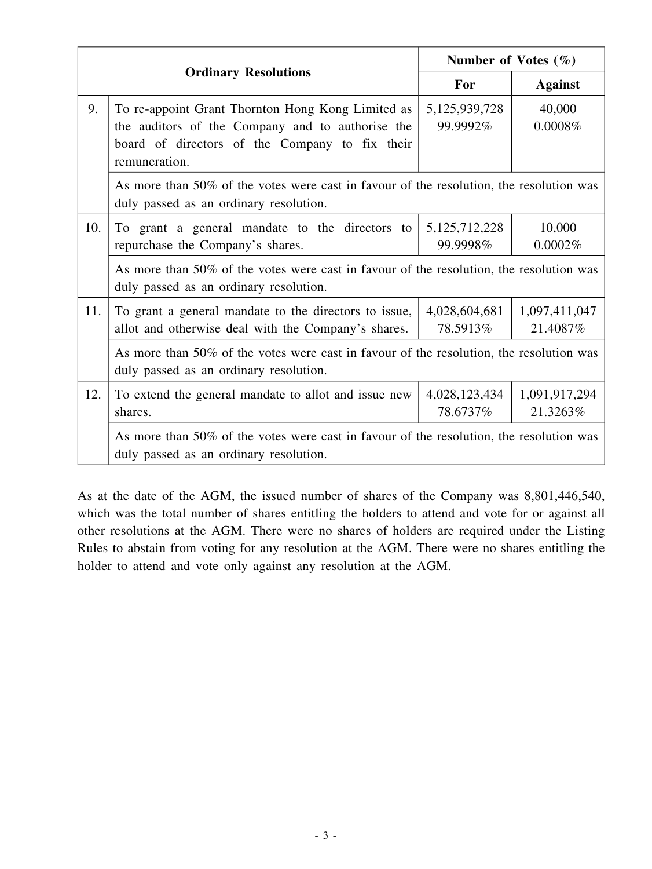|                             |                                                                                                                                                                          | Number of Votes $(\% )$      |                           |  |  |
|-----------------------------|--------------------------------------------------------------------------------------------------------------------------------------------------------------------------|------------------------------|---------------------------|--|--|
| <b>Ordinary Resolutions</b> |                                                                                                                                                                          | For                          | <b>Against</b>            |  |  |
| 9.                          | To re-appoint Grant Thornton Hong Kong Limited as<br>the auditors of the Company and to authorise the<br>board of directors of the Company to fix their<br>remuneration. | 5,125,939,728<br>99.9992%    | 40,000<br>0.0008%         |  |  |
|                             | As more than 50% of the votes were cast in favour of the resolution, the resolution was<br>duly passed as an ordinary resolution.                                        |                              |                           |  |  |
| 10.                         | To grant a general mandate to the directors to<br>repurchase the Company's shares.                                                                                       | 5, 125, 712, 228<br>99.9998% | 10,000<br>0.0002%         |  |  |
|                             | As more than 50% of the votes were cast in favour of the resolution, the resolution was<br>duly passed as an ordinary resolution.                                        |                              |                           |  |  |
| 11.                         | To grant a general mandate to the directors to issue,<br>allot and otherwise deal with the Company's shares.                                                             | 4,028,604,681<br>78.5913%    | 1,097,411,047<br>21.4087% |  |  |
|                             | As more than 50% of the votes were cast in favour of the resolution, the resolution was<br>duly passed as an ordinary resolution.                                        |                              |                           |  |  |
| 12.                         | To extend the general mandate to allot and issue new<br>shares.                                                                                                          | 4,028,123,434<br>78.6737%    | 1,091,917,294<br>21.3263% |  |  |
|                             | As more than 50% of the votes were cast in favour of the resolution, the resolution was<br>duly passed as an ordinary resolution.                                        |                              |                           |  |  |

As at the date of the AGM, the issued number of shares of the Company was 8,801,446,540, which was the total number of shares entitling the holders to attend and vote for or against all other resolutions at the AGM. There were no shares of holders are required under the Listing Rules to abstain from voting for any resolution at the AGM. There were no shares entitling the holder to attend and vote only against any resolution at the AGM.